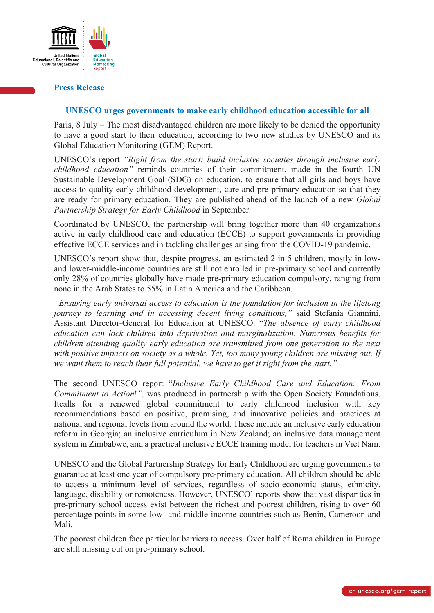

## **Press Release**

## **UNESCO urges governments to make early childhood education accessible for all**

Paris, 8 July – The most disadvantaged children are more likely to be denied the opportunity to have a good start to their education, according to two new studies by UNESCO and its Global Education Monitoring (GEM) Report.

UNESCO's report *"Right from the start: build inclusive societies through inclusive early childhood education"* reminds countries of their commitment, made in the fourth UN Sustainable Development Goal (SDG) on education, to ensure that all girls and boys have access to quality early childhood development, care and pre-primary education so that they are ready for primary education. They are published ahead of the launch of a new *Global Partnership Strategy for Early Childhood* in September.

Coordinated by UNESCO, the partnership will bring together more than 40 organizations active in early childhood care and education (ECCE) to support governments in providing effective ECCE services and in tackling challenges arising from the COVID-19 pandemic.

UNESCO's report show that, despite progress, an estimated 2 in 5 children, mostly in lowand lower-middle-income countries are still not enrolled in pre-primary school and currently only 28% of countries globally have made pre-primary education compulsory, ranging from none in the Arab States to 55% in Latin America and the Caribbean.

*"Ensuring early universal access to education is the foundation for inclusion in the lifelong journey to learning and in accessing decent living conditions,"* said Stefania Giannini, Assistant Director-General for Education at UNESCO. "*The absence of early childhood education can lock children into deprivation and marginalization. Numerous benefits for children attending quality early education are transmitted from one generation to the next with positive impacts on society as a whole. Yet, too many young children are missing out. If we want them to reach their full potential, we have to get it right from the start."*

The second UNESCO report "*Inclusive Early Childhood Care and Education: From Commitment to Action*!*",* was produced in partnership with the Open Society Foundations. Itcalls for a renewed global commitment to early childhood inclusion with key recommendations based on positive, promising, and innovative policies and practices at national and regional levels from around the world. These include an inclusive early education reform in Georgia; an inclusive curriculum in New Zealand; an inclusive data management system in Zimbabwe, and a practical inclusive ECCE training model for teachers in Viet Nam.

UNESCO and the Global Partnership Strategy for Early Childhood are urging governments to guarantee at least one year of compulsory pre-primary education. All children should be able to access a minimum level of services, regardless of socio-economic status, ethnicity, language, disability or remoteness. However, UNESCO' reports show that vast disparities in pre-primary school access exist between the richest and poorest children, rising to over 60 percentage points in some low- and middle-income countries such as Benin, Cameroon and Mali.

The poorest children face particular barriers to access. Over half of Roma children in Europe are still missing out on pre-primary school.